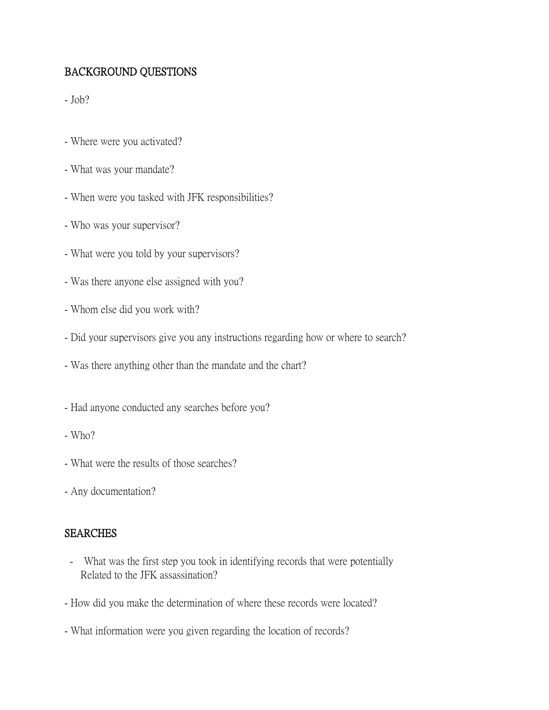# BACKGROUND QUESTIONS

 $-Job?$ 

- Where were you activated?
- What was your mandate?
- When were you tasked with JFK responsibilities?
- Who was your supervisor?
- What were you told by your supervisors?
- Was there anyone else assigned with you?
- Whom else did you work with?
- Did your supervisors give you any instructions regarding how or where to search?
- Was there anything other than the mandate and the chart?
- Had anyone conducted any searches before you?
- $-Who?$
- What were the results of those searches?
- Any documentation?

#### **SEARCHES**

- What was the first step you took in identifying records that were potentially Related to the JFK assassination?
- How did you make the determination of where these records were located?
- What information were you given regarding the location of records?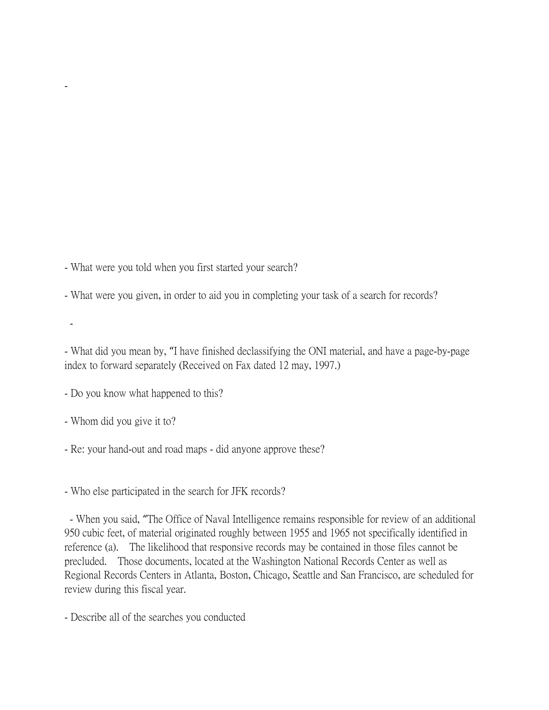- What were you told when you first started your search?

- What were you given, in order to aid you in completing your task of a search for records?

-

-

- What did you mean by, "I have finished declassifying the ONI material, and have a page-by-page index to forward separately (Received on Fax dated 12 may, 1997.)

- Do you know what happened to this?

- Whom did you give it to?

- Re: your hand-out and road maps - did anyone approve these?

- Who else participated in the search for JFK records?

- When you said, "The Office of Naval Intelligence remains responsible for review of an additional 950 cubic feet, of material originated roughly between 1955 and 1965 not specifically identified in reference (a). The likelihood that responsive records may be contained in those files cannot be precluded. Those documents, located at the Washington National Records Center as well as Regional Records Centers in Atlanta, Boston, Chicago, Seattle and San Francisco, are scheduled for review during this fiscal year.

- Describe all of the searches you conducted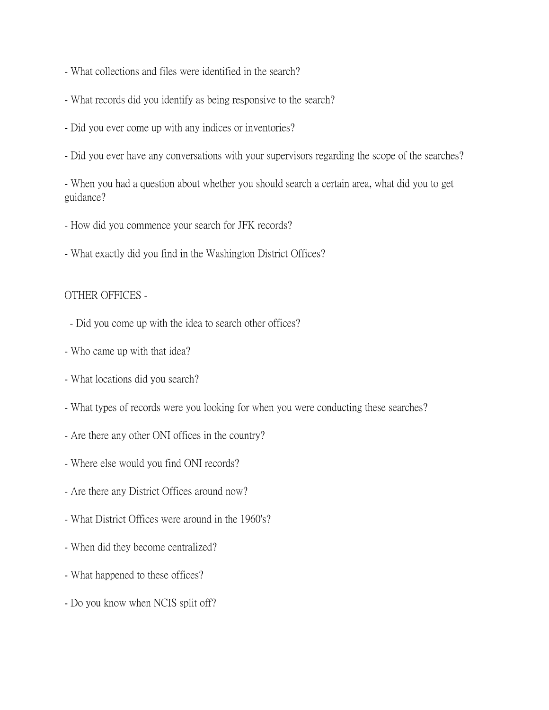- What collections and files were identified in the search?
- What records did you identify as being responsive to the search?
- Did you ever come up with any indices or inventories?
- Did you ever have any conversations with your supervisors regarding the scope of the searches?

- When you had a question about whether you should search a certain area, what did you to get guidance?

- How did you commence your search for JFK records?
- What exactly did you find in the Washington District Offices?

### OTHER OFFICES -

- Did you come up with the idea to search other offices?
- Who came up with that idea?
- What locations did you search?
- What types of records were you looking for when you were conducting these searches?
- Are there any other ONI offices in the country?
- Where else would you find ONI records?
- Are there any District Offices around now?
- What District Offices were around in the 1960's?
- When did they become centralized?
- What happened to these offices?
- Do you know when NCIS split off?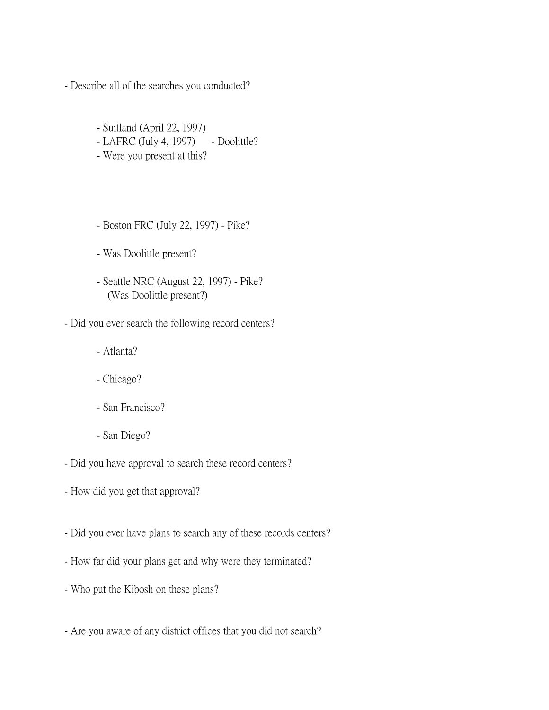- Describe all of the searches you conducted?

- Suitland (April 22, 1997)
- LAFRC (July 4, 1997) Doolittle?
- Were you present at this?
- Boston FRC (July 22, 1997) Pike?
- Was Doolittle present?
- Seattle NRC (August 22, 1997) Pike? (Was Doolittle present?)
- Did you ever search the following record centers?
	- Atlanta?
	- Chicago?
	- San Francisco?
	- San Diego?
- Did you have approval to search these record centers?
- How did you get that approval?
- Did you ever have plans to search any of these records centers?
- How far did your plans get and why were they terminated?
- Who put the Kibosh on these plans?
- Are you aware of any district offices that you did not search?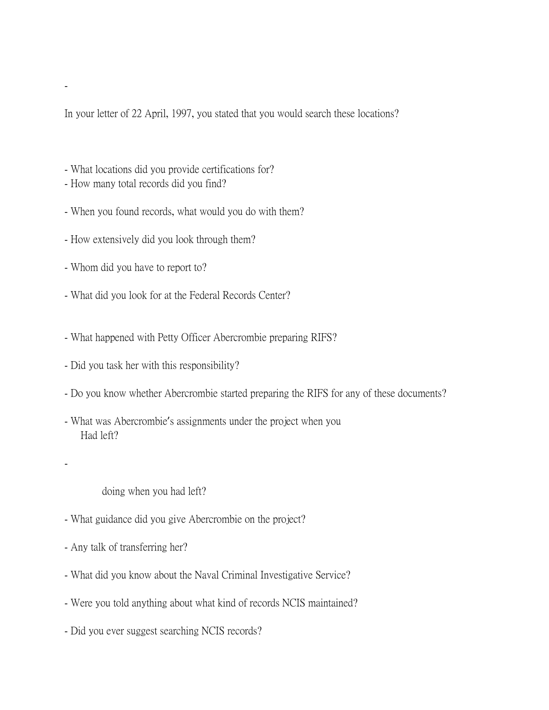In your letter of 22 April, 1997, you stated that you would search these locations?

- What locations did you provide certifications for?
- How many total records did you find?
- When you found records, what would you do with them?
- How extensively did you look through them?
- Whom did you have to report to?
- What did you look for at the Federal Records Center?
- What happened with Petty Officer Abercrombie preparing RIFS?
- Did you task her with this responsibility?
- Do you know whether Abercrombie started preparing the RIFS for any of these documents?
- What was Abercrombie's assignments under the project when you Had left?
- -

-

doing when you had left?

- What guidance did you give Abercrombie on the project?
- Any talk of transferring her?
- What did you know about the Naval Criminal Investigative Service?
- Were you told anything about what kind of records NCIS maintained?
- Did you ever suggest searching NCIS records?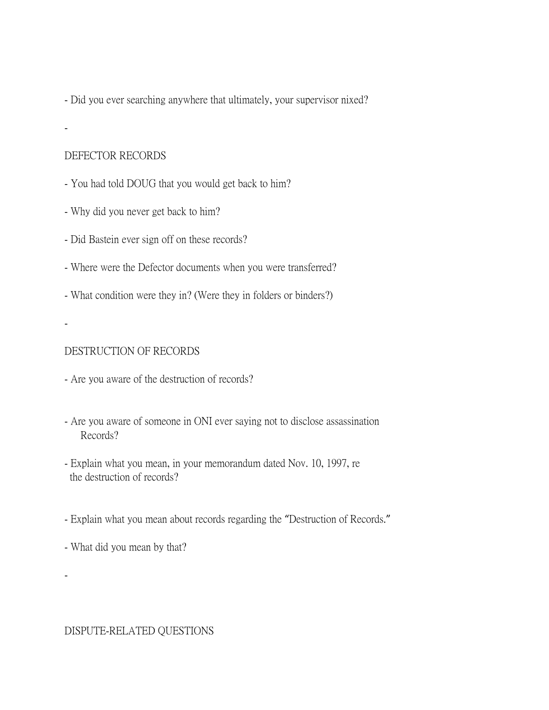- Did you ever searching anywhere that ultimately, your supervisor nixed?

-

### DEFECTOR RECORDS

- You had told DOUG that you would get back to him?
- Why did you never get back to him?
- Did Bastein ever sign off on these records?
- Where were the Defector documents when you were transferred?
- What condition were they in? (Were they in folders or binders?)
- -

-

# DESTRUCTION OF RECORDS

- Are you aware of the destruction of records?
- Are you aware of someone in ONI ever saying not to disclose assassination Records?
- Explain what you mean, in your memorandum dated Nov. 10, 1997, re the destruction of records?
- Explain what you mean about records regarding the "Destruction of Records."
- What did you mean by that?

DISPUTE-RELATED QUESTIONS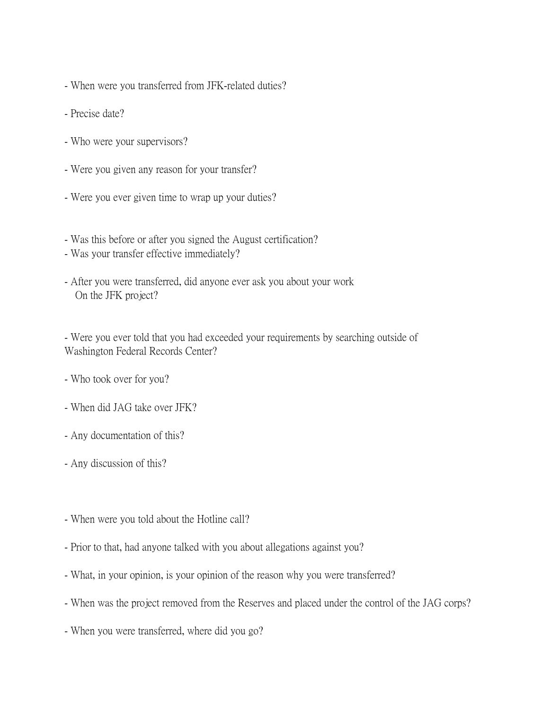- When were you transferred from JFK-related duties?
- Precise date?
- Who were your supervisors?
- Were you given any reason for your transfer?
- Were you ever given time to wrap up your duties?
- Was this before or after you signed the August certification?
- Was your transfer effective immediately?
- After you were transferred, did anyone ever ask you about your work On the JFK project?

- Were you ever told that you had exceeded your requirements by searching outside of Washington Federal Records Center?

- Who took over for you?
- When did JAG take over JFK?
- Any documentation of this?
- Any discussion of this?
- When were you told about the Hotline call?
- Prior to that, had anyone talked with you about allegations against you?
- What, in your opinion, is your opinion of the reason why you were transferred?
- When was the project removed from the Reserves and placed under the control of the JAG corps?
- When you were transferred, where did you go?